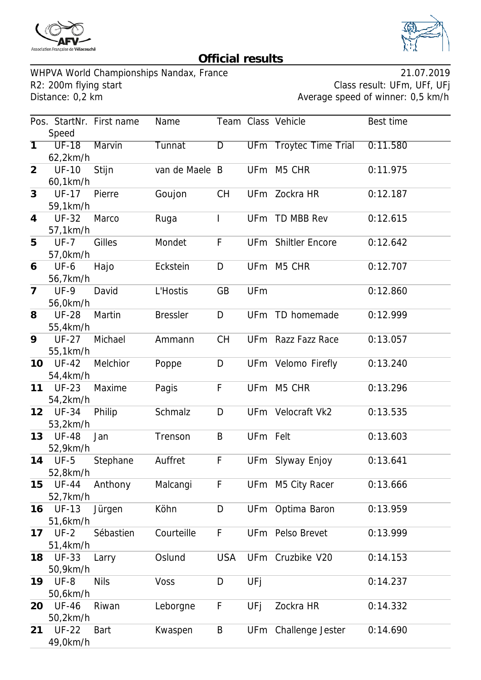



## **Official results**

WHPVA World Championships Nandax, France<br>R2: 200m flying start and R2: 200m flying start R2: 200m flying start R2: 200m flying start Class result: UFm, UFf, UFj<br>Distance: 0,2 km

Average speed of winner: 0,5 km/h

|                   |                          | Pos. StartNr. First name | Name            |            |                 | Team Class Vehicle        | Best time |
|-------------------|--------------------------|--------------------------|-----------------|------------|-----------------|---------------------------|-----------|
|                   | Speed                    |                          |                 |            |                 |                           |           |
| $\overline{1}$    | $UF-18$<br>62,2km/h      | Marvin                   | Tunnat          | D          | <b>UFm</b>      | <b>Troytec Time Trial</b> | 0:11.580  |
| $\overline{2}$    | <b>UF-10</b><br>60,1km/h | Stijn                    | van de Maele B  |            | <b>UFm</b>      | M5 CHR                    | 0:11.975  |
| 3                 | <b>UF-17</b><br>59,1km/h | Pierre                   | Goujon          | <b>CH</b>  |                 | UFm Zockra HR             | 0:12.187  |
| 4                 | <b>UF-32</b><br>57,1km/h | Marco                    | Ruga            | T          | UF <sub>m</sub> | TD MBB Rev                | 0:12.615  |
| 5                 | $UF-7$<br>57,0km/h       | Gilles                   | Mondet          | F          |                 | UFm Shiltler Encore       | 0:12.642  |
| 6                 | <b>UF-6</b><br>56,7km/h  | Hajo                     | Eckstein        | D          | UF <sub>m</sub> | M5 CHR                    | 0:12.707  |
| $\overline{7}$    | $UF-9$<br>56,0km/h       | David                    | L'Hostis        | GB         | UFm             |                           | 0:12.860  |
| 8                 | <b>UF-28</b><br>55,4km/h | Martin                   | <b>Bressler</b> | D          | UF <sub>m</sub> | TD homemade               | 0:12.999  |
| 9                 | <b>UF-27</b><br>55,1km/h | Michael                  | Ammann          | <b>CH</b>  |                 | UFm Razz Fazz Race        | 0:13.057  |
| 10                | <b>UF-42</b><br>54,4km/h | Melchior                 | Poppe           | D          |                 | UFm Velomo Firefly        | 0:13.240  |
| 11                | <b>UF-23</b><br>54,2km/h | Maxime                   | Pagis           | F          | UF <sub>m</sub> | M5 CHR                    | 0:13.296  |
| $12 \overline{ }$ | <b>UF-34</b><br>53,2km/h | Philip                   | Schmalz         | D          |                 | UFm Velocraft Vk2         | 0:13.535  |
| 13                | <b>UF-48</b><br>52,9km/h | Jan                      | Trenson         | B          | UFm Felt        |                           | 0:13.603  |
| 14                | $UF-5$<br>52,8km/h       | Stephane                 | Auffret         | F          | UF <sub>m</sub> | Slyway Enjoy              | 0:13.641  |
| 15                | <b>UF-44</b><br>52,7km/h | Anthony                  | Malcangi        | F          |                 | UFm M5 City Racer         | 0:13.666  |
| 16                | <b>UF-13</b><br>51,6km/h | Jürgen                   | Köhn            | D          |                 | UFm Optima Baron          | 0:13.959  |
| 17                | $UF-2$<br>51,4km/h       | Sébastien                | Courteille      | F          |                 | UFm Pelso Brevet          | 0:13.999  |
| 18                | <b>UF-33</b><br>50,9km/h | Larry                    | Oslund          | <b>USA</b> |                 | UFm Cruzbike V20          | 0:14.153  |
| 19                | $UF-8$<br>50,6km/h       | <b>Nils</b>              | Voss            | D          | UFj             |                           | 0:14.237  |
| 20                | <b>UF-46</b><br>50,2km/h | Riwan                    | Leborgne        | F          | UFj             | Zockra HR                 | 0:14.332  |
| 21                | <b>UF-22</b><br>49,0km/h | <b>Bart</b>              | Kwaspen         | B          | UFm             | Challenge Jester          | 0:14.690  |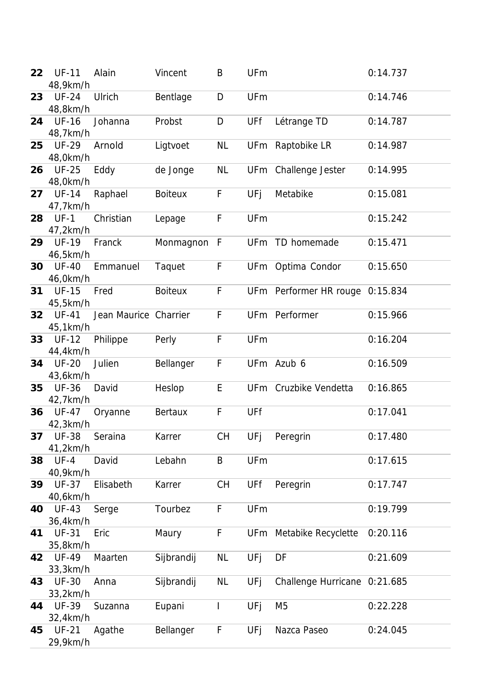| 22 | <b>UF-11</b><br>48,9km/h | Alain                 | Vincent        | B         | UFm             |                                 | 0:14.737 |
|----|--------------------------|-----------------------|----------------|-----------|-----------------|---------------------------------|----------|
| 23 | <b>UF-24</b><br>48,8km/h | Ulrich                | Bentlage       | D         | UFm             |                                 | 0:14.746 |
| 24 | <b>UF-16</b><br>48,7km/h | Johanna               | Probst         | D         | UFf             | Létrange TD                     | 0:14.787 |
| 25 | <b>UF-29</b><br>48,0km/h | Arnold                | Ligtvoet       | <b>NL</b> | UF <sub>m</sub> | Raptobike LR                    | 0:14.987 |
| 26 | <b>UF-25</b><br>48,0km/h | Eddy                  | de Jonge       | <b>NL</b> |                 | UFm Challenge Jester            | 0:14.995 |
| 27 | <b>UF-14</b><br>47,7km/h | Raphael               | <b>Boiteux</b> | F         | UFj             | Metabike                        | 0:15.081 |
| 28 | $UF-1$<br>47,2km/h       | Christian             | Lepage         | F         | UFm             |                                 | 0:15.242 |
| 29 | <b>UF-19</b><br>46,5km/h | Franck                | Monmagnon      | F         | <b>UFm</b>      | TD homemade                     | 0:15.471 |
| 30 | <b>UF-40</b><br>46,0km/h | Emmanuel              | Taquet         | F         | <b>UFm</b>      | Optima Condor                   | 0:15.650 |
| 31 | <b>UF-15</b><br>45,5km/h | Fred                  | <b>Boiteux</b> | F         |                 | UFm Performer HR rouge 0:15.834 |          |
| 32 | <b>UF-41</b><br>45,1km/h | Jean Maurice Charrier |                | F         |                 | UFm Performer                   | 0:15.966 |
| 33 | <b>UF-12</b><br>44,4km/h | Philippe              | Perly          | F         | UFm             |                                 | 0:16.204 |
| 34 | <b>UF-20</b><br>43,6km/h | Julien                | Bellanger      | F         |                 | UFm Azub 6                      | 0:16.509 |
| 35 | <b>UF-36</b><br>42,7km/h | David                 | Heslop         | E         |                 | UFm Cruzbike Vendetta           | 0:16.865 |
| 36 | <b>UF-47</b><br>42,3km/h | Oryanne               | Bertaux        | F         | UFf             |                                 | 0:17.041 |
| 37 | <b>UF-38</b><br>41,2km/h | Seraina               | Karrer         | <b>CH</b> | UFj             | Peregrin                        | 0:17.480 |
| 38 | $UF-4$<br>40,9km/h       | David                 | Lebahn         | B         | UFm             |                                 | 0:17.615 |
| 39 | <b>UF-37</b><br>40,6km/h | Elisabeth             | Karrer         | <b>CH</b> | UFf             | Peregrin                        | 0:17.747 |
| 40 | <b>UF-43</b><br>36,4km/h | Serge                 | Tourbez        | F         | UFm             |                                 | 0:19.799 |
| 41 | <b>UF-31</b><br>35,8km/h | Eric                  | Maury          | F         |                 | UFm Metabike Recyclette         | 0:20.116 |
| 42 | <b>UF-49</b><br>33,3km/h | Maarten               | Sijbrandij     | <b>NL</b> | UFj             | DF                              | 0:21.609 |
| 43 | <b>UF-30</b><br>33,2km/h | Anna                  | Sijbrandij     | <b>NL</b> | UFj             | Challenge Hurricane 0:21.685    |          |
| 44 | <b>UF-39</b><br>32,4km/h | Suzanna               | Eupani         | I         | UFj             | M <sub>5</sub>                  | 0:22.228 |
| 45 | <b>UF-21</b><br>29,9km/h | Agathe                | Bellanger      | F         | UFj             | Nazca Paseo                     | 0:24.045 |